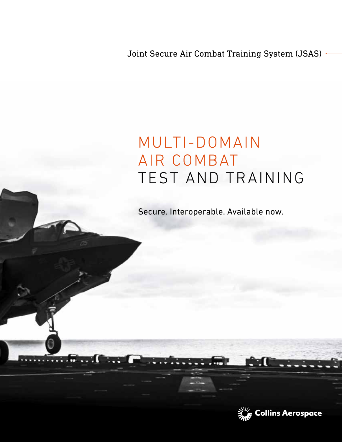Joint Secure Air Combat Training System (JSAS)

## MULTI-DOMAIN AIR COMBAT TEST AND TRAINING

Secure. Interoperable. Available now.

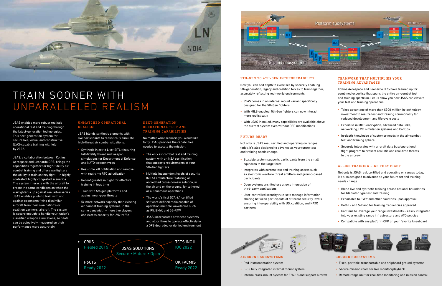

# TRAIN SOONER WITH UNPARALLELED REALISM

JSAS enables more robust realistic operational test and training through the latest-generation technologies. This next-generation system for secure live, virtual and constructive (LVC)-capable training will field by 2022.

JSAS, a collaboration between Collins Aerospace and Leonardo DRS, brings the capabilities together for high-fidelity air combat training and offers warfighters the ability to train as they fight – in highly contested, highly congested scenarios. The system interacts with the aircraft to create the same conditions as when the warfighter is up against real adversaries. JSAS enables pilots to train with and against opponents flying dissimilar aircraft from their own nation's or coalition partners' aircraft. The system is secure enough to handle your nation's classified weapon simulations, so pilots can be objectively measured on their performance more accurately.

#### UNMATCHED OPERATIONAL REALISM

JSAS blends synthetic elements with live participants to realistically simulate high-threat air combat situations.

- Synthetic Inject to Live (SITL) featuring full-fidelity threat and weapon simulations for Department of Defense and NATO weapon types
- Real-time kill notification and removal with real-time RTO adjudication
- Reconfigurable in flight for effective training in less time
- Train with 5th gen platforms and against near-peer threats
- 5x more network capacity than existing air combat training systems, in the same bandwidth – more live players and excess capacity for LVC traffic

## 5TH-GEN TO 4TH-GEN INTEROPERABILITY

Now you can add depth to exercises by securely enabling 5th-generation, legacy and coalition forces to train together, accurately reflecting real-world environments.

- JSAS comes in an internal mount variant specifically designed for the 5th Gen fighters
- With MILS enabled, 5th Gen fighters can now interact more realistically
- With JSAS installed, many capabilities are available above the current system even without OFP modifications

## FUTURE READY

Not only is JSAS real, certified and operating on ranges today, it's also designed to advance as your future test and training needs change.

- Scalable system supports participants from the small squadron to the large force
- Integrates with current test and training assets such as electronic-warfare threat emitters and ground-based participants
- Open systems architecture allows integration of third-party applications
- User-controlled security rule-sets manage information sharing between participants of different security levels ensuring interoperability with US, coalition, and NATO partners





#### NEXT-GENERATION OPERATIONAL TEST AND TRAINING CAPABILITIES

No matter what scenario you would like to fly, JSAS provides the capabilities needed to execute the mission.

- The only air combat test and training system with an NSA certification that supports requirements of your 5th-Gen fighters
- Multiple independent levels of security (MILS) architecture featuring an accredited cross-domain solution, in the air and on the ground, for tethered or autonomous operations
- The world's first SCA 4.1 certified software defined radio capable of operation multiple waveforms such as P5, BMW, and 5G-ATW
- JSAS incorporates advanced systems and algorithms to operate effectively in a GPS degraded or denied environment

## AIRBORNE SUBSYSTEMS

- Pod instrumentation system
- F-35 fully integrated internal mount system
- Internal/rack-mount system for F/A-18 and support aircraft

#### GROUND SUBSYSTEMS

- Fixed, portable, transportable and shipboard ground systems
- Secure mission room for live monitor/playback
- Remote range unit for real-time monitoring and mission control





## TEAMWORK THAT MULTIPLIES YOUR TRAINING ADVANTAGES

Collins Aerospace and Leonardo DRS have teamed up for combined expertise that spans the entire air-combat test and training spectrum. Let us show you how JSAS can elevate your test and training operations.

- Takes advantage of more than \$300 million in technology investment to realize test and training commonality for reduced development and life-cycle costs
- Expertise in MILS encryption, advanced data links, networking, LVC, simulation systems and ConOps
- In-depth knowledge of customer needs in the air-combat test and training sphere
- Securely integrates with aircraft data bus/operational flight program to present realistic and real-time threats to the aircrew

### ALLIES TRAINING LIKE THEY FIGHT

Not only is JSAS real, certified and operating on ranges today, it's also designed to advance as your future tet and training needs change.

- Blend live and synthetic training across national boundaries for Gladiator type test and training
- Exportable to FVEY and other countries upon approval
- Both L- and S-Band for training frequencies approved
- Continue to leverage your range investments easily integrated into your existing range infrastructure and ATO policies
- Compatible with any platform OFP or your favorite kneeboard